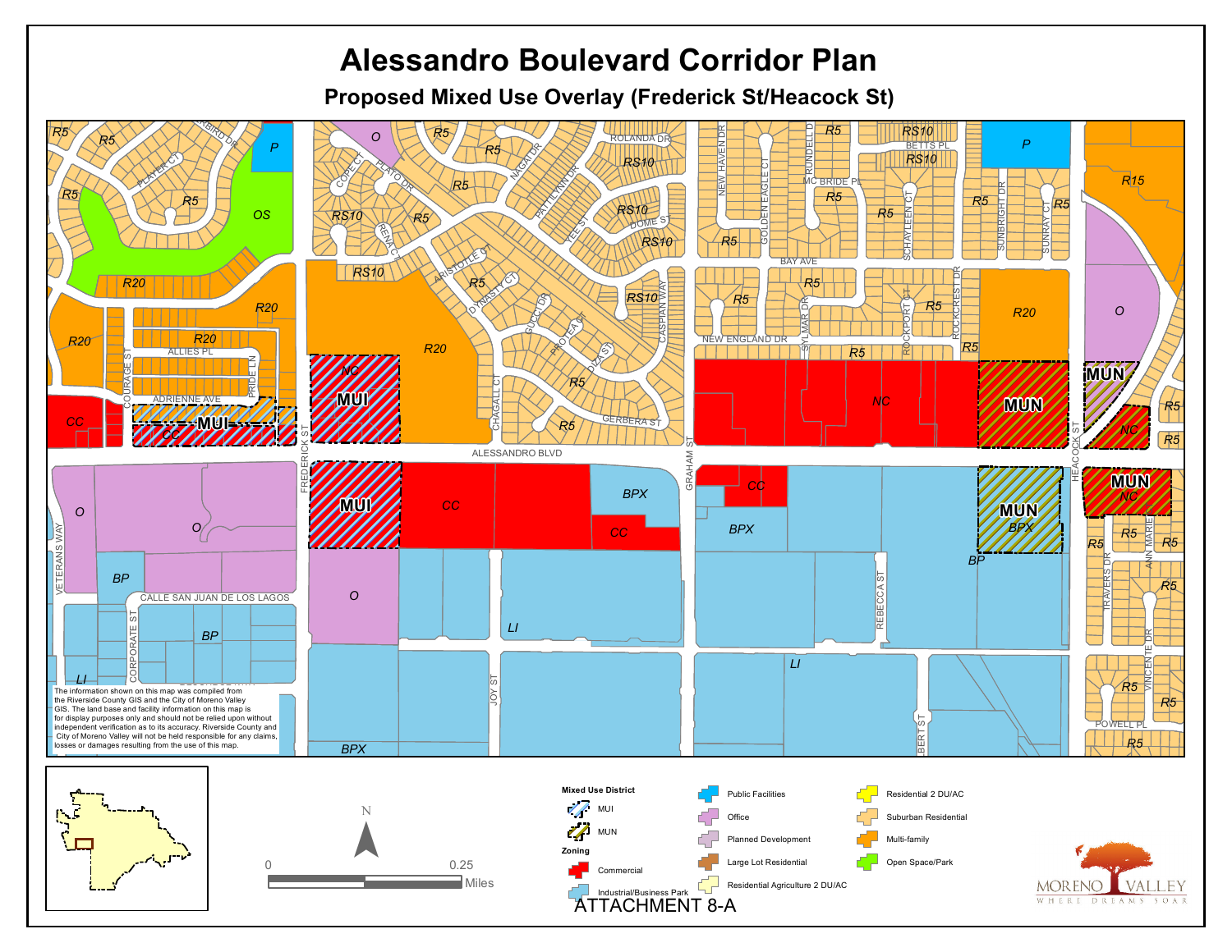## **Alessandro Boulevard Corridor Plan**

d<br>= **Proposed Mixed Use Overlay (Frederick St/Heacock St)**

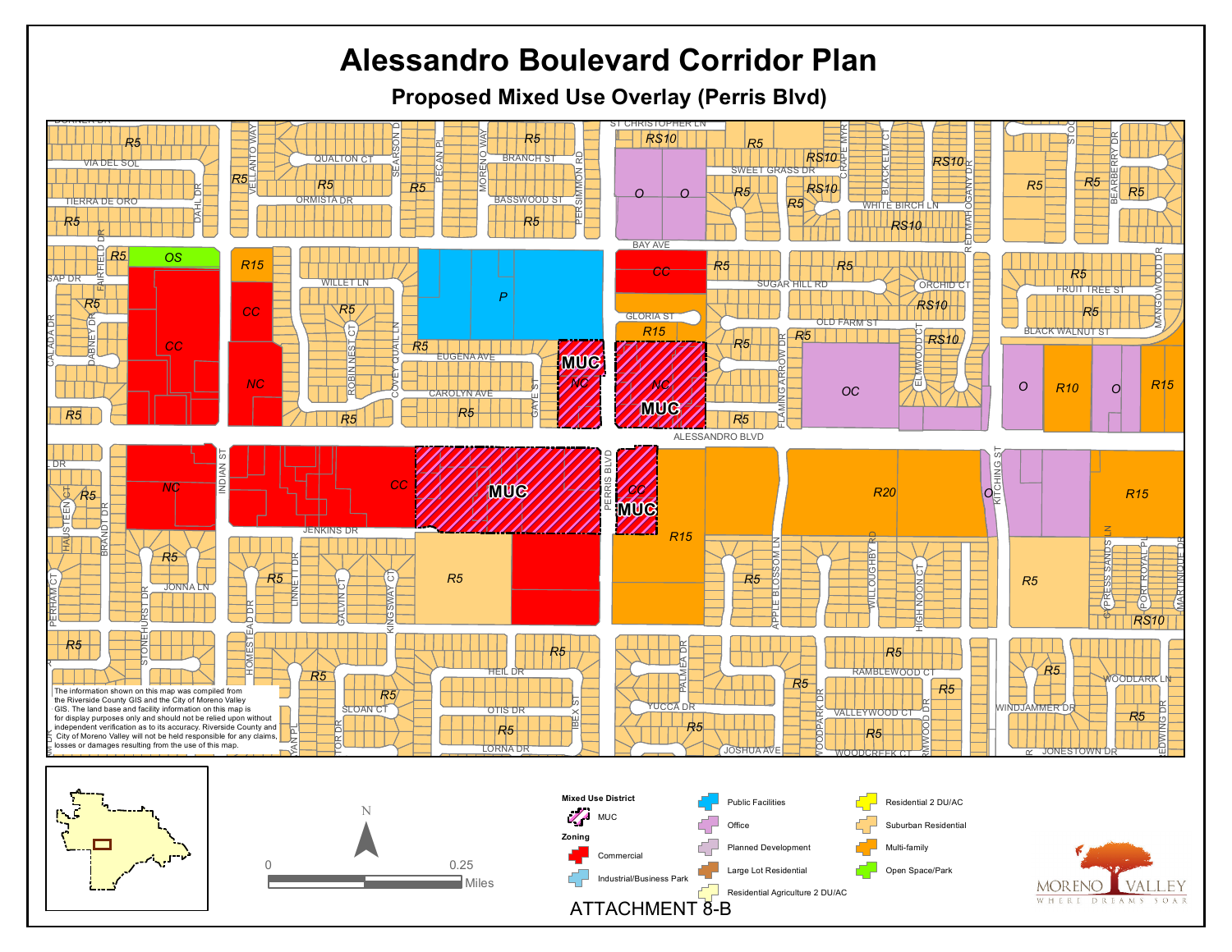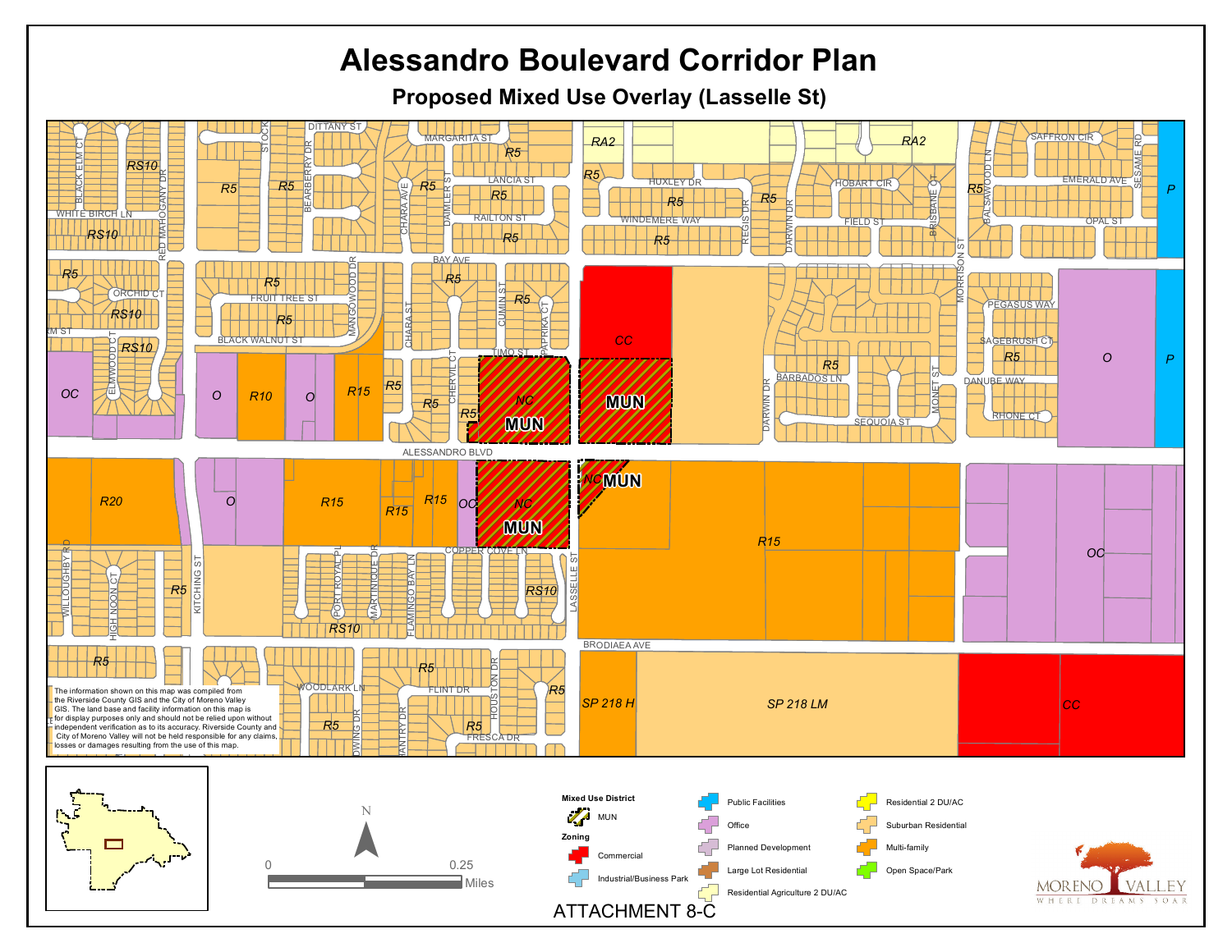